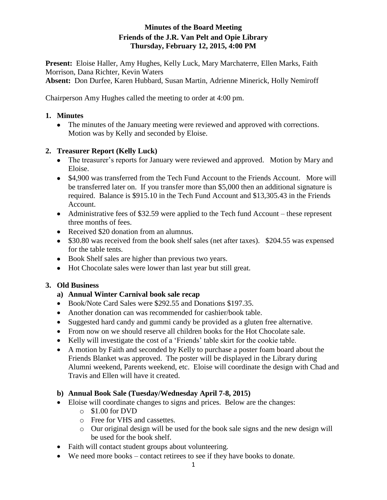#### **Minutes of the Board Meeting Friends of the J.R. Van Pelt and Opie Library Thursday, February 12, 2015, 4:00 PM**

**Present:** Eloise Haller, Amy Hughes, Kelly Luck, Mary Marchaterre, Ellen Marks, Faith Morrison, Dana Richter, Kevin Waters

**Absent:** Don Durfee, Karen Hubbard, Susan Martin, Adrienne Minerick, Holly Nemiroff

Chairperson Amy Hughes called the meeting to order at 4:00 pm.

#### **1. Minutes**

• The minutes of the January meeting were reviewed and approved with corrections. Motion was by Kelly and seconded by Eloise.

## **2. Treasurer Report (Kelly Luck)**

- The treasurer's reports for January were reviewed and approved. Motion by Mary and Eloise.
- \$4,900 was transferred from the Tech Fund Account to the Friends Account. More will be transferred later on. If you transfer more than \$5,000 then an additional signature is required. Balance is \$915.10 in the Tech Fund Account and \$13,305.43 in the Friends Account.
- Administrative fees of \$32.59 were applied to the Tech fund Account these represent three months of fees.
- Received \$20 donation from an alumnus.
- \$30.80 was received from the book shelf sales (net after taxes). \$204.55 was expensed for the table tents.
- Book Shelf sales are higher than previous two years.
- Hot Chocolate sales were lower than last year but still great.

## **3. Old Business**

## **a) Annual Winter Carnival book sale recap**

- Book/Note Card Sales were \$292.55 and Donations \$197.35.
- Another donation can was recommended for cashier/book table.
- Suggested hard candy and gummi candy be provided as a gluten free alternative.
- From now on we should reserve all children books for the Hot Chocolate sale.
- Kelly will investigate the cost of a 'Friends' table skirt for the cookie table.
- A motion by Faith and seconded by Kelly to purchase a poster foam board about the Friends Blanket was approved. The poster will be displayed in the Library during Alumni weekend, Parents weekend, etc. Eloise will coordinate the design with Chad and Travis and Ellen will have it created.

## **b) Annual Book Sale (Tuesday/Wednesday April 7-8, 2015)**

- Eloise will coordinate changes to signs and prices. Below are the changes:
	- $\circ$  \$1.00 for DVD
	- o Free for VHS and cassettes.
	- o Our original design will be used for the book sale signs and the new design will be used for the book shelf.
- Faith will contact student groups about volunteering.
- We need more books contact retirees to see if they have books to donate.